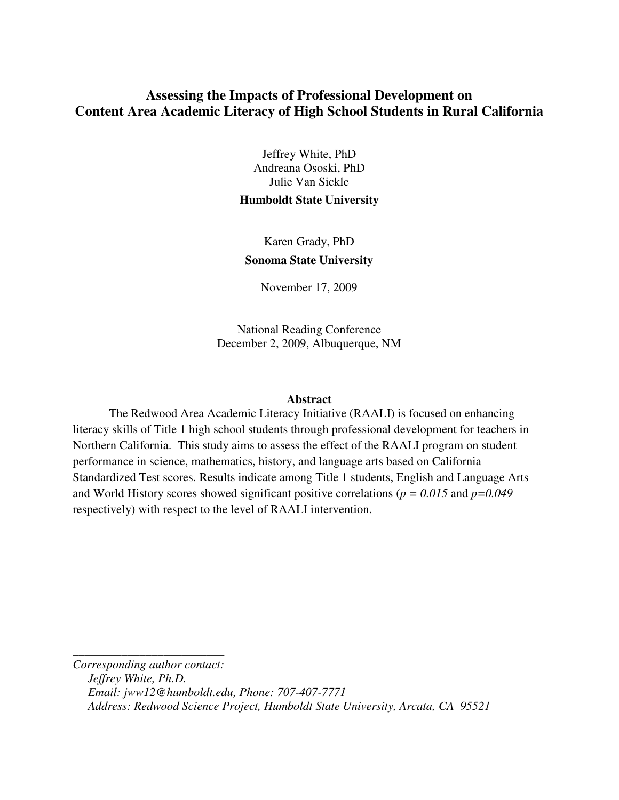# **Assessing the Impacts of Professional Development on Content Area Academic Literacy of High School Students in Rural California**

Jeffrey White, PhD Andreana Ososki, PhD Julie Van Sickle

## **Humboldt State University**

Karen Grady, PhD **Sonoma State University** 

November 17, 2009

National Reading Conference December 2, 2009, Albuquerque, NM

### **Abstract**

The Redwood Area Academic Literacy Initiative (RAALI) is focused on enhancing literacy skills of Title 1 high school students through professional development for teachers in Northern California. This study aims to assess the effect of the RAALI program on student performance in science, mathematics, history, and language arts based on California Standardized Test scores. Results indicate among Title 1 students, English and Language Arts and World History scores showed significant positive correlations (*p = 0.015* and *p=0.049* respectively) with respect to the level of RAALI intervention.

*Corresponding author contact: Jeffrey White, Ph.D. Email: jww12@humboldt.edu, Phone: 707-407-7771 Address: Redwood Science Project, Humboldt State University, Arcata, CA 95521* 

*\_\_\_\_\_\_\_\_\_\_\_\_\_\_\_\_\_\_\_\_\_\_\_\_\_*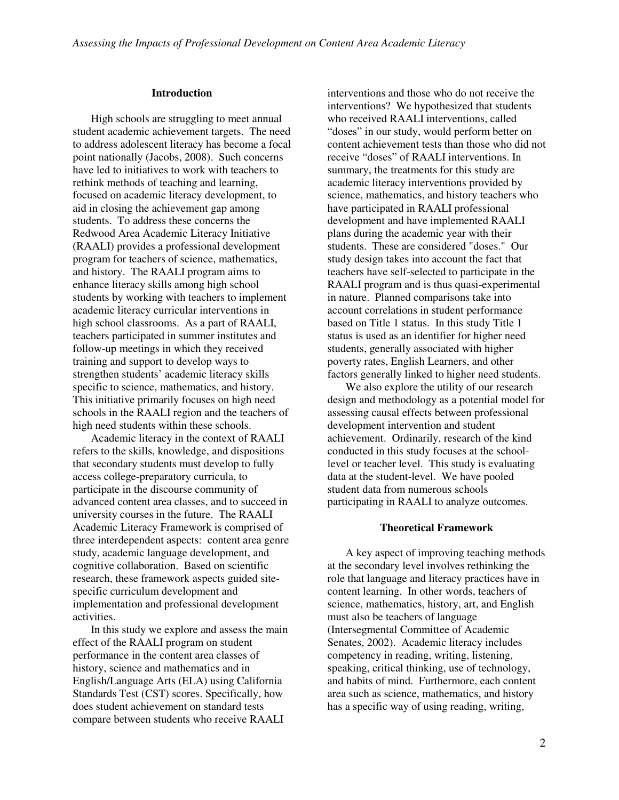#### **Introduction**

High schools are struggling to meet annual student academic achievement targets. The need to address adolescent literacy has become a focal point nationally (Jacobs, 2008). Such concerns have led to initiatives to work with teachers to rethink methods of teaching and learning, focused on academic literacy development, to aid in closing the achievement gap among students. To address these concerns the Redwood Area Academic Literacy Initiative (RAALI) provides a professional development program for teachers of science, mathematics, and history. The RAALI program aims to enhance literacy skills among high school students by working with teachers to implement academic literacy curricular interventions in high school classrooms. As a part of RAALI, teachers participated in summer institutes and follow-up meetings in which they received training and support to develop ways to strengthen students' academic literacy skills specific to science, mathematics, and history. This initiative primarily focuses on high need schools in the RAALI region and the teachers of high need students within these schools.

Academic literacy in the context of RAALI refers to the skills, knowledge, and dispositions that secondary students must develop to fully access college-preparatory curricula, to participate in the discourse community of advanced content area classes, and to succeed in university courses in the future. The RAALI Academic Literacy Framework is comprised of three interdependent aspects: content area genre study, academic language development, and cognitive collaboration. Based on scientific research, these framework aspects guided sitespecific curriculum development and implementation and professional development activities.

In this study we explore and assess the main effect of the RAALI program on student performance in the content area classes of history, science and mathematics and in English/Language Arts (ELA) using California Standards Test (CST) scores. Specifically, how does student achievement on standard tests compare between students who receive RAALI

interventions and those who do not receive the interventions? We hypothesized that students who received RAALI interventions, called "doses" in our study, would perform better on content achievement tests than those who did not receive "doses" of RAALI interventions. In summary, the treatments for this study are academic literacy interventions provided by science, mathematics, and history teachers who have participated in RAALI professional development and have implemented RAALI plans during the academic year with their students. These are considered "doses." Our study design takes into account the fact that teachers have self-selected to participate in the RAALI program and is thus quasi-experimental in nature. Planned comparisons take into account correlations in student performance based on Title 1 status. In this study Title 1 status is used as an identifier for higher need students, generally associated with higher poverty rates, English Learners, and other factors generally linked to higher need students.

We also explore the utility of our research design and methodology as a potential model for assessing causal effects between professional development intervention and student achievement. Ordinarily, research of the kind conducted in this study focuses at the schoollevel or teacher level. This study is evaluating data at the student-level. We have pooled student data from numerous schools participating in RAALI to analyze outcomes.

#### **Theoretical Framework**

A key aspect of improving teaching methods at the secondary level involves rethinking the role that language and literacy practices have in content learning. In other words, teachers of science, mathematics, history, art, and English must also be teachers of language (Intersegmental Committee of Academic Senates, 2002). Academic literacy includes competency in reading, writing, listening, speaking, critical thinking, use of technology, and habits of mind. Furthermore, each content area such as science, mathematics, and history has a specific way of using reading, writing,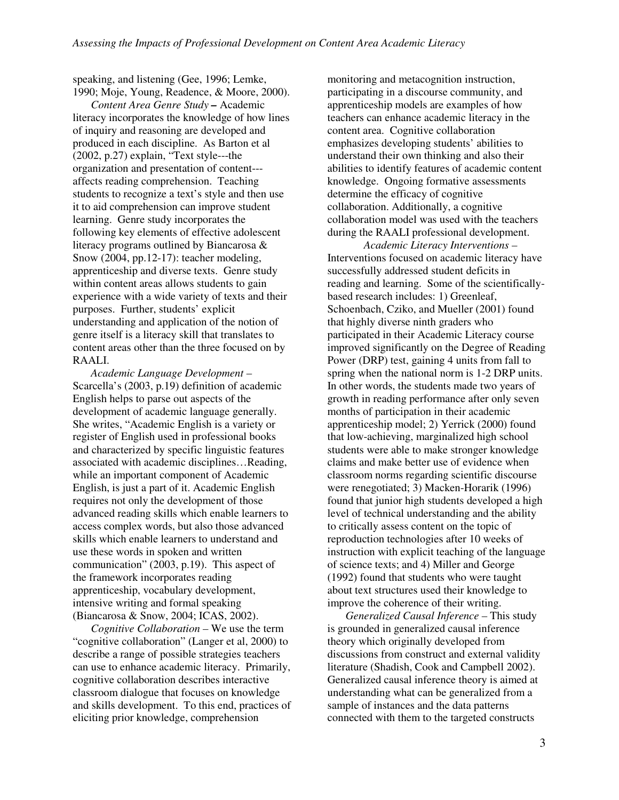speaking, and listening (Gee, 1996; Lemke, 1990; Moje, Young, Readence, & Moore, 2000).

*Content Area Genre Study –* Academic literacy incorporates the knowledge of how lines of inquiry and reasoning are developed and produced in each discipline. As Barton et al (2002, p.27) explain, "Text style---the organization and presentation of content-- affects reading comprehension. Teaching students to recognize a text's style and then use it to aid comprehension can improve student learning. Genre study incorporates the following key elements of effective adolescent literacy programs outlined by Biancarosa & Snow (2004, pp.12-17): teacher modeling, apprenticeship and diverse texts. Genre study within content areas allows students to gain experience with a wide variety of texts and their purposes. Further, students' explicit understanding and application of the notion of genre itself is a literacy skill that translates to content areas other than the three focused on by RAALI.

*Academic Language Development –*  Scarcella's (2003, p.19) definition of academic English helps to parse out aspects of the development of academic language generally. She writes, "Academic English is a variety or register of English used in professional books and characterized by specific linguistic features associated with academic disciplines…Reading, while an important component of Academic English, is just a part of it. Academic English requires not only the development of those advanced reading skills which enable learners to access complex words, but also those advanced skills which enable learners to understand and use these words in spoken and written communication" (2003, p.19). This aspect of the framework incorporates reading apprenticeship, vocabulary development, intensive writing and formal speaking (Biancarosa & Snow, 2004; ICAS, 2002).

*Cognitive Collaboration –* We use the term "cognitive collaboration" (Langer et al, 2000) to describe a range of possible strategies teachers can use to enhance academic literacy. Primarily, cognitive collaboration describes interactive classroom dialogue that focuses on knowledge and skills development. To this end, practices of eliciting prior knowledge, comprehension

monitoring and metacognition instruction, participating in a discourse community, and apprenticeship models are examples of how teachers can enhance academic literacy in the content area. Cognitive collaboration emphasizes developing students' abilities to understand their own thinking and also their abilities to identify features of academic content knowledge. Ongoing formative assessments determine the efficacy of cognitive collaboration. Additionally, a cognitive collaboration model was used with the teachers during the RAALI professional development.

*Academic Literacy Interventions –*  Interventions focused on academic literacy have successfully addressed student deficits in reading and learning. Some of the scientificallybased research includes: 1) Greenleaf, Schoenbach, Cziko, and Mueller (2001) found that highly diverse ninth graders who participated in their Academic Literacy course improved significantly on the Degree of Reading Power (DRP) test, gaining 4 units from fall to spring when the national norm is 1-2 DRP units. In other words, the students made two years of growth in reading performance after only seven months of participation in their academic apprenticeship model; 2) Yerrick (2000) found that low-achieving, marginalized high school students were able to make stronger knowledge claims and make better use of evidence when classroom norms regarding scientific discourse were renegotiated; 3) Macken-Horarik (1996) found that junior high students developed a high level of technical understanding and the ability to critically assess content on the topic of reproduction technologies after 10 weeks of instruction with explicit teaching of the language of science texts; and 4) Miller and George (1992) found that students who were taught about text structures used their knowledge to improve the coherence of their writing.

*Generalized Causal Inference –* This study is grounded in generalized causal inference theory which originally developed from discussions from construct and external validity literature (Shadish, Cook and Campbell 2002). Generalized causal inference theory is aimed at understanding what can be generalized from a sample of instances and the data patterns connected with them to the targeted constructs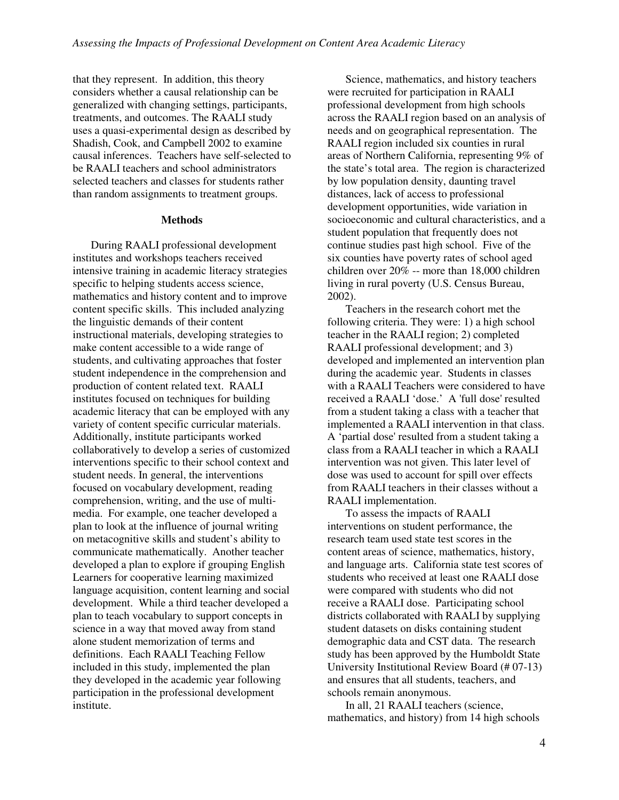that they represent. In addition, this theory considers whether a causal relationship can be generalized with changing settings, participants, treatments, and outcomes. The RAALI study uses a quasi-experimental design as described by Shadish, Cook, and Campbell 2002 to examine causal inferences. Teachers have self-selected to be RAALI teachers and school administrators selected teachers and classes for students rather than random assignments to treatment groups.

#### **Methods**

During RAALI professional development institutes and workshops teachers received intensive training in academic literacy strategies specific to helping students access science, mathematics and history content and to improve content specific skills. This included analyzing the linguistic demands of their content instructional materials, developing strategies to make content accessible to a wide range of students, and cultivating approaches that foster student independence in the comprehension and production of content related text. RAALI institutes focused on techniques for building academic literacy that can be employed with any variety of content specific curricular materials. Additionally, institute participants worked collaboratively to develop a series of customized interventions specific to their school context and student needs. In general, the interventions focused on vocabulary development, reading comprehension, writing, and the use of multimedia. For example, one teacher developed a plan to look at the influence of journal writing on metacognitive skills and student's ability to communicate mathematically. Another teacher developed a plan to explore if grouping English Learners for cooperative learning maximized language acquisition, content learning and social development. While a third teacher developed a plan to teach vocabulary to support concepts in science in a way that moved away from stand alone student memorization of terms and definitions. Each RAALI Teaching Fellow included in this study, implemented the plan they developed in the academic year following participation in the professional development institute.

Science, mathematics, and history teachers were recruited for participation in RAALI professional development from high schools across the RAALI region based on an analysis of needs and on geographical representation. The RAALI region included six counties in rural areas of Northern California, representing 9% of the state's total area. The region is characterized by low population density, daunting travel distances, lack of access to professional development opportunities, wide variation in socioeconomic and cultural characteristics, and a student population that frequently does not continue studies past high school. Five of the six counties have poverty rates of school aged children over 20% -- more than 18,000 children living in rural poverty (U.S. Census Bureau, 2002).

Teachers in the research cohort met the following criteria. They were: 1) a high school teacher in the RAALI region; 2) completed RAALI professional development; and 3) developed and implemented an intervention plan during the academic year. Students in classes with a RAALI Teachers were considered to have received a RAALI 'dose.' A 'full dose' resulted from a student taking a class with a teacher that implemented a RAALI intervention in that class. A 'partial dose' resulted from a student taking a class from a RAALI teacher in which a RAALI intervention was not given. This later level of dose was used to account for spill over effects from RAALI teachers in their classes without a RAALI implementation.

To assess the impacts of RAALI interventions on student performance, the research team used state test scores in the content areas of science, mathematics, history, and language arts. California state test scores of students who received at least one RAALI dose were compared with students who did not receive a RAALI dose. Participating school districts collaborated with RAALI by supplying student datasets on disks containing student demographic data and CST data. The research study has been approved by the Humboldt State University Institutional Review Board (# 07-13) and ensures that all students, teachers, and schools remain anonymous.

In all, 21 RAALI teachers (science, mathematics, and history) from 14 high schools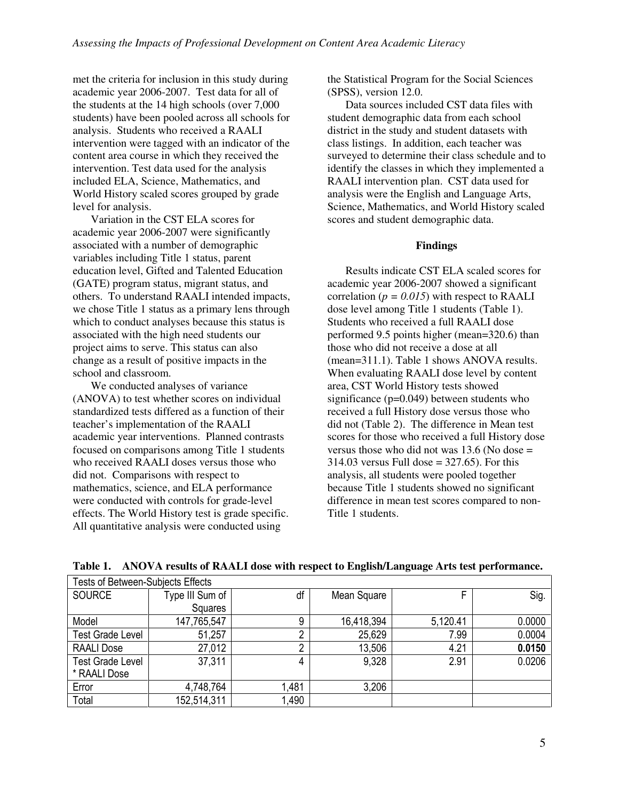met the criteria for inclusion in this study during academic year 2006-2007. Test data for all of the students at the 14 high schools (over 7,000 students) have been pooled across all schools for analysis. Students who received a RAALI intervention were tagged with an indicator of the content area course in which they received the intervention. Test data used for the analysis included ELA, Science, Mathematics, and World History scaled scores grouped by grade level for analysis.

Variation in the CST ELA scores for academic year 2006-2007 were significantly associated with a number of demographic variables including Title 1 status, parent education level, Gifted and Talented Education (GATE) program status, migrant status, and others. To understand RAALI intended impacts, we chose Title 1 status as a primary lens through which to conduct analyses because this status is associated with the high need students our project aims to serve. This status can also change as a result of positive impacts in the school and classroom.

We conducted analyses of variance (ANOVA) to test whether scores on individual standardized tests differed as a function of their teacher's implementation of the RAALI academic year interventions. Planned contrasts focused on comparisons among Title 1 students who received RAALI doses versus those who did not. Comparisons with respect to mathematics, science, and ELA performance were conducted with controls for grade-level effects. The World History test is grade specific. All quantitative analysis were conducted using

the Statistical Program for the Social Sciences (SPSS), version 12.0.

Data sources included CST data files with student demographic data from each school district in the study and student datasets with class listings. In addition, each teacher was surveyed to determine their class schedule and to identify the classes in which they implemented a RAALI intervention plan. CST data used for analysis were the English and Language Arts, Science, Mathematics, and World History scaled scores and student demographic data.

#### **Findings**

Results indicate CST ELA scaled scores for academic year 2006-2007 showed a significant correlation ( $p = 0.015$ ) with respect to RAALI dose level among Title 1 students (Table 1). Students who received a full RAALI dose performed 9.5 points higher (mean=320.6) than those who did not receive a dose at all (mean=311.1). Table 1 shows ANOVA results. When evaluating RAALI dose level by content area, CST World History tests showed significance (p=0.049) between students who received a full History dose versus those who did not (Table 2). The difference in Mean test scores for those who received a full History dose versus those who did not was  $13.6$  (No dose  $=$  $314.03$  versus Full dose =  $327.65$ ). For this analysis, all students were pooled together because Title 1 students showed no significant difference in mean test scores compared to non-Title 1 students.

| <b>Tests of Between-Subjects Effects</b> |                 |       |             |          |        |  |  |  |
|------------------------------------------|-----------------|-------|-------------|----------|--------|--|--|--|
| <b>SOURCE</b>                            | Type III Sum of | df    | Mean Square |          | Sig.   |  |  |  |
|                                          | Squares         |       |             |          |        |  |  |  |
| Model                                    | 147,765,547     | 9     | 16,418,394  | 5,120.41 | 0.0000 |  |  |  |
| <b>Test Grade Level</b>                  | 51,257          | ŋ     | 25,629      | 7.99     | 0.0004 |  |  |  |
| <b>RAALI Dose</b>                        | 27,012          | າ     | 13,506      | 4.21     | 0.0150 |  |  |  |
| <b>Test Grade Level</b>                  | 37,311          | 4     | 9,328       | 2.91     | 0.0206 |  |  |  |
| * RAALI Dose                             |                 |       |             |          |        |  |  |  |
| Error                                    | 4,748,764       | 1,481 | 3,206       |          |        |  |  |  |
| Total                                    | 152,514,311     | 1,490 |             |          |        |  |  |  |

**Table 1. ANOVA results of RAALI dose with respect to English/Language Arts test performance.**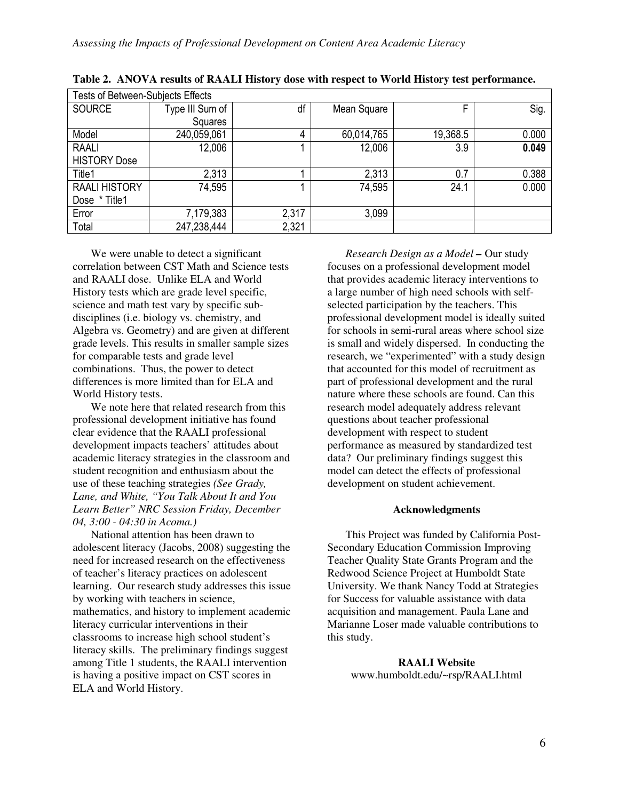| Tests of Between-Subjects Effects |                 |       |             |          |       |  |  |  |
|-----------------------------------|-----------------|-------|-------------|----------|-------|--|--|--|
| <b>SOURCE</b>                     | Type III Sum of | df    | Mean Square |          | Sig.  |  |  |  |
|                                   | Squares         |       |             |          |       |  |  |  |
| Model                             | 240,059,061     | 4     | 60,014,765  | 19,368.5 | 0.000 |  |  |  |
| <b>RAALI</b>                      | 12,006          |       | 12,006      | 3.9      | 0.049 |  |  |  |
| <b>HISTORY Dose</b>               |                 |       |             |          |       |  |  |  |
| Title1                            | 2,313           |       | 2,313       | 0.7      | 0.388 |  |  |  |
| <b>RAALI HISTORY</b>              | 74,595          |       | 74,595      | 24.1     | 0.000 |  |  |  |
| Dose * Title1                     |                 |       |             |          |       |  |  |  |
| Error                             | 7,179,383       | 2,317 | 3,099       |          |       |  |  |  |
| Total                             | 247,238,444     | 2,321 |             |          |       |  |  |  |

**Table 2. ANOVA results of RAALI History dose with respect to World History test performance.** 

We were unable to detect a significant correlation between CST Math and Science tests and RAALI dose. Unlike ELA and World History tests which are grade level specific, science and math test vary by specific subdisciplines (i.e. biology vs. chemistry, and Algebra vs. Geometry) and are given at different grade levels. This results in smaller sample sizes for comparable tests and grade level combinations. Thus, the power to detect differences is more limited than for ELA and World History tests.

We note here that related research from this professional development initiative has found clear evidence that the RAALI professional development impacts teachers' attitudes about academic literacy strategies in the classroom and student recognition and enthusiasm about the use of these teaching strategies *(See Grady, Lane, and White, "You Talk About It and You Learn Better" NRC Session Friday, December 04, 3:00 - 04:30 in Acoma.)*

National attention has been drawn to adolescent literacy (Jacobs, 2008) suggesting the need for increased research on the effectiveness of teacher's literacy practices on adolescent learning. Our research study addresses this issue by working with teachers in science, mathematics, and history to implement academic literacy curricular interventions in their classrooms to increase high school student's literacy skills. The preliminary findings suggest among Title 1 students, the RAALI intervention is having a positive impact on CST scores in ELA and World History.

*Research Design as a Model –* Our study focuses on a professional development model that provides academic literacy interventions to a large number of high need schools with selfselected participation by the teachers. This professional development model is ideally suited for schools in semi-rural areas where school size is small and widely dispersed. In conducting the research, we "experimented" with a study design that accounted for this model of recruitment as part of professional development and the rural nature where these schools are found. Can this research model adequately address relevant questions about teacher professional development with respect to student performance as measured by standardized test data? Our preliminary findings suggest this model can detect the effects of professional development on student achievement.

#### **Acknowledgments**

This Project was funded by California Post-Secondary Education Commission Improving Teacher Quality State Grants Program and the Redwood Science Project at Humboldt State University. We thank Nancy Todd at Strategies for Success for valuable assistance with data acquisition and management. Paula Lane and Marianne Loser made valuable contributions to this study.

> **RAALI Website**  www.humboldt.edu/~rsp/RAALI.html